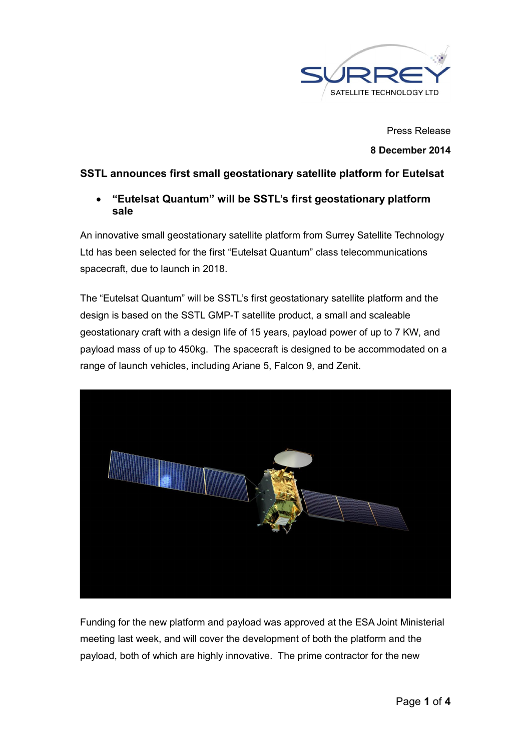

Press Release 8 December 2014

# SSTL announces first small geostationary satellite platform for Eutelsat

 "Eutelsat Quantum" will be SSTL's first geostationary platform sale

An innovative small geostationary satellite platform from Surrey Satellite Technology Ltd has been selected for the first "Eutelsat Quantum" class telecommunications spacecraft, due to launch in 2018.

The "Eutelsat Quantum" will be SSTL's first geostationary satellite platform and the design is based on the SSTL GMP-T satellite product, a small and scaleable geostationary craft with a design life of 15 years, payload power of up to 7 KW, and payload mass of up to 450kg. The spacecraft is designed to be accommodated on a range of launch vehicles, including Ariane 5, Falcon 9, and Zenit.



Funding for the new platform and payload was approved at the ESA Joint Ministerial meeting last week, and will cover the development of both the platform and the payload, both of which are highly innovative. The prime contractor for the new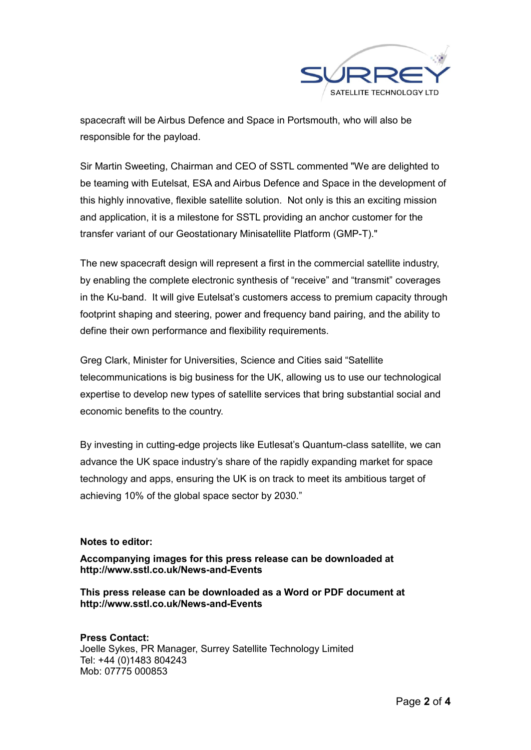

spacecraft will be Airbus Defence and Space in Portsmouth, who will also be responsible for the payload.

Sir Martin Sweeting, Chairman and CEO of SSTL commented "We are delighted to be teaming with Eutelsat, ESA and Airbus Defence and Space in the development of this highly innovative, flexible satellite solution. Not only is this an exciting mission and application, it is a milestone for SSTL providing an anchor customer for the transfer variant of our Geostationary Minisatellite Platform (GMP-T)."

The new spacecraft design will represent a first in the commercial satellite industry, by enabling the complete electronic synthesis of "receive" and "transmit" coverages in the Ku-band. It will give Eutelsat's customers access to premium capacity through footprint shaping and steering, power and frequency band pairing, and the ability to define their own performance and flexibility requirements.

Greg Clark, Minister for Universities, Science and Cities said "Satellite telecommunications is big business for the UK, allowing us to use our technological expertise to develop new types of satellite services that bring substantial social and economic benefits to the country.

By investing in cutting-edge projects like Eutlesat's Quantum-class satellite, we can advance the UK space industry's share of the rapidly expanding market for space technology and apps, ensuring the UK is on track to meet its ambitious target of achieving 10% of the global space sector by 2030."

## Notes to editor:

Accompanying images for this press release can be downloaded at http://www.sstl.co.uk/News-and-Events

This press release can be downloaded as a Word or PDF document at http://www.sstl.co.uk/News-and-Events

## Press Contact:

Joelle Sykes, PR Manager, Surrey Satellite Technology Limited Tel: +44 (0)1483 804243 Mob: 07775 000853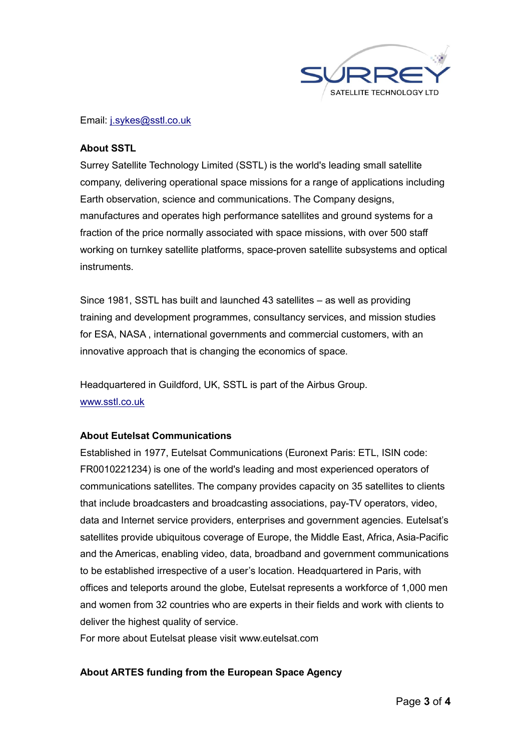

#### Email: j.sykes@sstl.co.uk

### About SSTL

Surrey Satellite Technology Limited (SSTL) is the world's leading small satellite company, delivering operational space missions for a range of applications including Earth observation, science and communications. The Company designs, manufactures and operates high performance satellites and ground systems for a fraction of the price normally associated with space missions, with over 500 staff working on turnkey satellite platforms, space-proven satellite subsystems and optical instruments.

Since 1981, SSTL has built and launched 43 satellites – as well as providing training and development programmes, consultancy services, and mission studies for ESA, NASA , international governments and commercial customers, with an innovative approach that is changing the economics of space.

Headquartered in Guildford, UK, SSTL is part of the Airbus Group. www.sstl.co.uk

## About Eutelsat Communications

Established in 1977, Eutelsat Communications (Euronext Paris: ETL, ISIN code: FR0010221234) is one of the world's leading and most experienced operators of communications satellites. The company provides capacity on 35 satellites to clients that include broadcasters and broadcasting associations, pay-TV operators, video, data and Internet service providers, enterprises and government agencies. Eutelsat's satellites provide ubiquitous coverage of Europe, the Middle East, Africa, Asia-Pacific and the Americas, enabling video, data, broadband and government communications to be established irrespective of a user's location. Headquartered in Paris, with offices and teleports around the globe, Eutelsat represents a workforce of 1,000 men and women from 32 countries who are experts in their fields and work with clients to deliver the highest quality of service.

For more about Eutelsat please visit www.eutelsat.com

## About ARTES funding from the European Space Agency